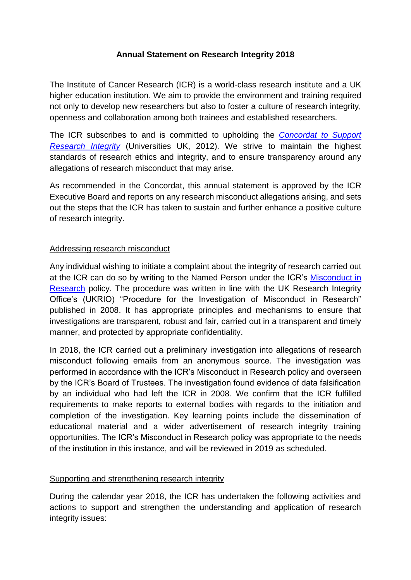## **Annual Statement on Research Integrity 2018**

The Institute of Cancer Research (ICR) is a world-class research institute and a UK higher education institution. We aim to provide the environment and training required not only to develop new researchers but also to foster a culture of research integrity, openness and collaboration among both trainees and established researchers.

The ICR subscribes to and is committed to upholding the *[Concordat to Support](https://www.universitiesuk.ac.uk/policy-and-analysis/reports/Documents/2012/the-concordat-to-support-research-integrity.pdf)  [Research Integrity](https://www.universitiesuk.ac.uk/policy-and-analysis/reports/Documents/2012/the-concordat-to-support-research-integrity.pdf)* (Universities UK, 2012). We strive to maintain the highest standards of research ethics and integrity, and to ensure transparency around any allegations of research misconduct that may arise.

As recommended in the Concordat, this annual statement is approved by the ICR Executive Board and reports on any research misconduct allegations arising, and sets out the steps that the ICR has taken to sustain and further enhance a positive culture of research integrity.

## Addressing research misconduct

Any individual wishing to initiate a complaint about the integrity of research carried out at the ICR can do so by writing to the Named Person under the ICR's [Misconduct in](https://d1ijoxngr27nfi.cloudfront.net/docs/default-source/corporate-docs-accounts-and-annual-reports/annual-accounts/misconduct-in-research.pdf?sfvrsn=e6db5269_4)  [Research](https://d1ijoxngr27nfi.cloudfront.net/docs/default-source/corporate-docs-accounts-and-annual-reports/annual-accounts/misconduct-in-research.pdf?sfvrsn=e6db5269_4) policy. The procedure was written in line with the UK Research Integrity Office's (UKRIO) "Procedure for the Investigation of Misconduct in Research" published in 2008. It has appropriate principles and mechanisms to ensure that investigations are transparent, robust and fair, carried out in a transparent and timely manner, and protected by appropriate confidentiality.

In 2018, the ICR carried out a preliminary investigation into allegations of research misconduct following emails from an anonymous source. The investigation was performed in accordance with the ICR's Misconduct in Research policy and overseen by the ICR's Board of Trustees. The investigation found evidence of data falsification by an individual who had left the ICR in 2008. We confirm that the ICR fulfilled requirements to make reports to external bodies with regards to the initiation and completion of the investigation. Key learning points include the dissemination of educational material and a wider advertisement of research integrity training opportunities. The ICR's Misconduct in Research policy was appropriate to the needs of the institution in this instance, and will be reviewed in 2019 as scheduled.

## Supporting and strengthening research integrity

During the calendar year 2018, the ICR has undertaken the following activities and actions to support and strengthen the understanding and application of research integrity issues: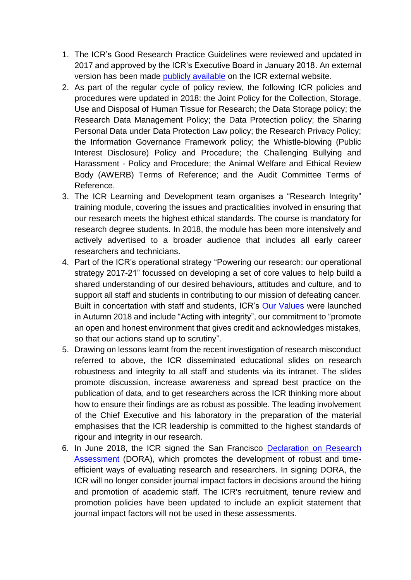- 1. The ICR's Good Research Practice Guidelines were reviewed and updated in 2017 and approved by the ICR's Executive Board in January 2018. An external version has been made [publicly available](https://d1ijoxngr27nfi.cloudfront.net/docs/default-source/corporate-docs-accounts-and-annual-reports/annual-accounts/good-research-practice-guideline.pdf?sfvrsn=1fdb5269_2) on the ICR external website.
- 2. As part of the regular cycle of policy review, the following ICR policies and procedures were updated in 2018: the Joint Policy for the Collection, Storage, Use and Disposal of Human Tissue for Research; the Data Storage policy; the Research Data Management Policy; the Data Protection policy; the Sharing Personal Data under Data Protection Law policy; the Research Privacy Policy; the Information Governance Framework policy; the Whistle-blowing (Public Interest Disclosure) Policy and Procedure; the Challenging Bullying and Harassment - Policy and Procedure; the Animal Welfare and Ethical Review Body (AWERB) Terms of Reference; and the Audit Committee Terms of Reference.
- 3. The ICR Learning and Development team organises a "Research Integrity" training module, covering the issues and practicalities involved in ensuring that our research meets the highest ethical standards. The course is mandatory for research degree students. In 2018, the module has been more intensively and actively advertised to a broader audience that includes all early career researchers and technicians.
- 4. Part of the ICR's operational strategy "Powering our research: our operational strategy 2017-21" focussed on developing a set of core values to help build a shared understanding of our desired behaviours, attitudes and culture, and to support all staff and students in contributing to our mission of defeating cancer. Built in concertation with staff and students, ICR's Our [Values](https://www.icr.ac.uk/about-us/icr-strategy/our-values) were launched in Autumn 2018 and include "Acting with integrity", our commitment to "promote an open and honest environment that gives credit and acknowledges mistakes, so that our actions stand up to scrutiny".
- 5. Drawing on lessons learnt from the recent investigation of research misconduct referred to above, the ICR disseminated educational slides on research robustness and integrity to all staff and students via its intranet. The slides promote discussion, increase awareness and spread best practice on the publication of data, and to get researchers across the ICR thinking more about how to ensure their findings are as robust as possible. The leading involvement of the Chief Executive and his laboratory in the preparation of the material emphasises that the ICR leadership is committed to the highest standards of rigour and integrity in our research.
- 6. In June 2018, the ICR signed the San Francisco [Declaration on Research](https://sfdora.org/read/)  [Assessment](https://sfdora.org/read/) (DORA), which promotes the development of robust and timeefficient ways of evaluating research and researchers. In signing DORA, the ICR will no longer consider journal impact factors in decisions around the hiring and promotion of academic staff. The ICR's recruitment, tenure review and promotion policies have been updated to include an explicit statement that journal impact factors will not be used in these assessments.